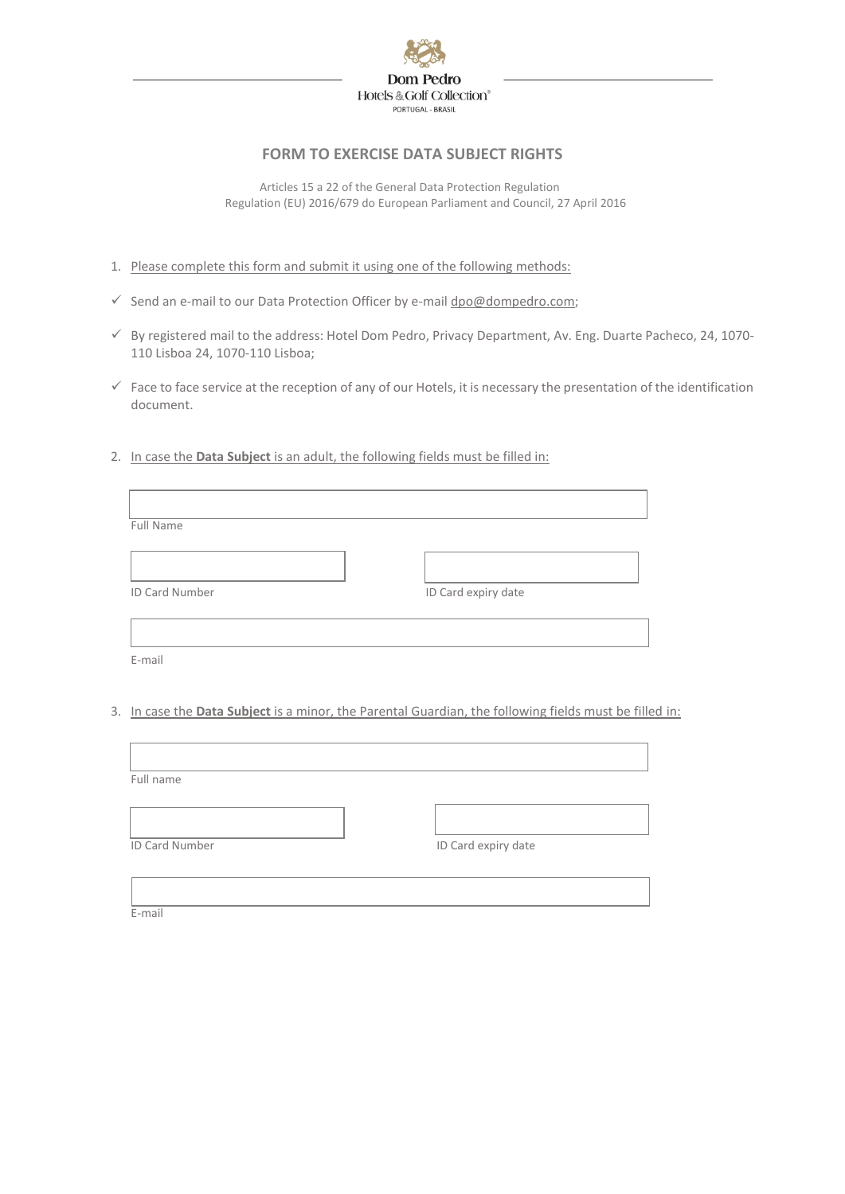

## **FORM TO EXERCISE DATA SUBJECT RIGHTS**

 Articles 15 a 22 of the General Data Protection Regulation Regulation (EU) 2016/679 do European Parliament and Council, 27 April 2016

- 1. Please complete this form and submit it using one of the following methods:
- ✓ Send an e-mail to our Data Protection Officer by e-mai[l dpo@dompedro.com;](mailto:dpo@dompedro.com)
- ✓ By registered mail to the address: Hotel Dom Pedro, Privacy Department, Av. Eng. Duarte Pacheco, 24, 1070- 110 Lisboa 24, 1070-110 Lisboa;
- ✓ Face to face service at the reception of any of our Hotels, it is necessary the presentation of the identification document.
- 2. In case the **Data Subject** is an adult, the following fields must be filled in:

| Full Name      |                     |
|----------------|---------------------|
|                |                     |
| ID Card Number | ID Card expiry date |
|                |                     |
| E-mail         |                     |

3. In case the **Data Subject** is a minor, the Parental Guardian, the following fields must be filled in:

| Full name      |                     |
|----------------|---------------------|
|                |                     |
| ID Card Number | ID Card expiry date |
|                |                     |
|                |                     |

E-mail